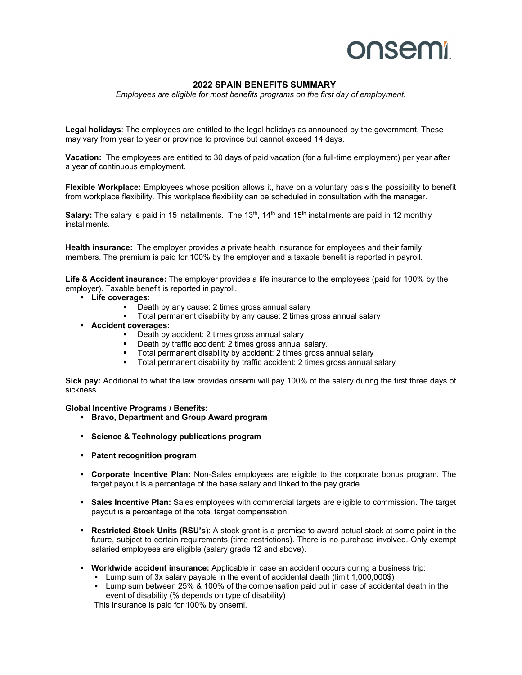## **onsemi**

## **2022 SPAIN BENEFITS SUMMARY**

*Employees are eligible for most benefits programs on the first day of employment.* 

**Legal holidays**: The employees are entitled to the legal holidays as announced by the government. These may vary from year to year or province to province but cannot exceed 14 days.

**Vacation:** The employees are entitled to 30 days of paid vacation (for a full-time employment) per year after a year of continuous employment.

**Flexible Workplace:** Employees whose position allows it, have on a voluntary basis the possibility to benefit from workplace flexibility. This workplace flexibility can be scheduled in consultation with the manager.

Salary: The salary is paid in 15 installments. The 13<sup>th</sup>, 14<sup>th</sup> and 15<sup>th</sup> installments are paid in 12 monthly installments.

**Health insurance:** The employer provides a private health insurance for employees and their family members. The premium is paid for 100% by the employer and a taxable benefit is reported in payroll.

**Life & Accident insurance:** The employer provides a life insurance to the employees (paid for 100% by the employer). Taxable benefit is reported in payroll.

- **Life coverages:** 
	- Death by any cause: 2 times gross annual salary
	- Total permanent disability by any cause: 2 times gross annual salary
- **Accident coverages:** 
	- **Death by accident: 2 times gross annual salary**
	- Death by traffic accident: 2 times gross annual salary.
	- Total permanent disability by accident: 2 times gross annual salary
	- **Total permanent disability by traffic accident: 2 times gross annual salary**

**Sick pay:** Additional to what the law provides onsemi will pay 100% of the salary during the first three days of sickness.

**Global Incentive Programs / Benefits:** 

- **Bravo, Department and Group Award program**
- **Science & Technology publications program**
- **Patent recognition program**
- **Corporate Incentive Plan:** Non-Sales employees are eligible to the corporate bonus program. The target payout is a percentage of the base salary and linked to the pay grade.
- **Sales Incentive Plan:** Sales employees with commercial targets are eligible to commission. The target payout is a percentage of the total target compensation.
- **Restricted Stock Units (RSU's**): A stock grant is a promise to award actual stock at some point in the future, subject to certain requirements (time restrictions). There is no purchase involved. Only exempt salaried employees are eligible (salary grade 12 and above).
- **Worldwide accident insurance:** Applicable in case an accident occurs during a business trip:
	- Lump sum of 3x salary payable in the event of accidental death (limit 1,000,000\$)
	- Lump sum between 25% & 100% of the compensation paid out in case of accidental death in the event of disability (% depends on type of disability)

This insurance is paid for 100% by onsemi.